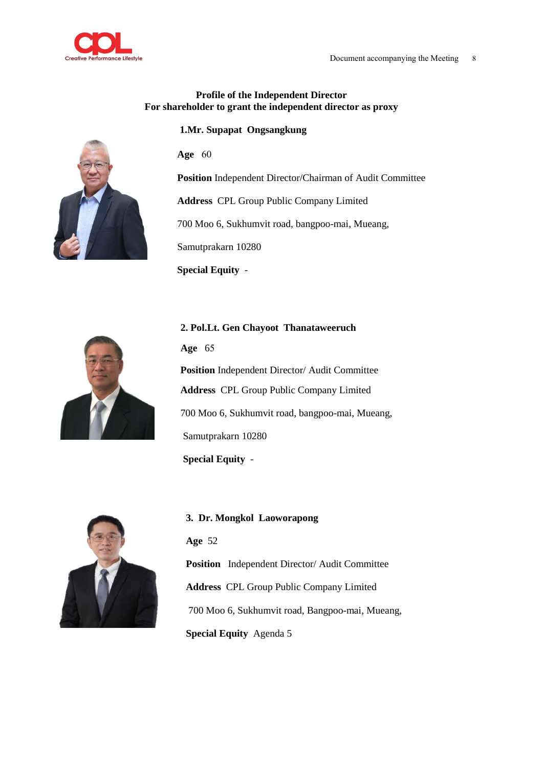

## **Profile of the Independent Director For shareholder to grant the independent director as proxy**

**1.Mr. Supapat Ongsangkung** 

**Age** 60

**Position** Independent Director/Chairman of Audit Committee

**Address** CPL Group Public Company Limited

 **2. Pol.Lt. Gen Chayoot Thanataweeruch** 

700 Moo 6, Sukhumvit road, bangpoo-mai, Mueang,

Samutprakarn 10280

**Special Equity** -



 **Age** 65 **Position** Independent Director/ Audit Committee **Address** CPL Group Public Company Limited 700 Moo 6, Sukhumvit road, bangpoo-mai, Mueang, Samutprakarn 10280  **Special Equity** -



**3. Dr. Mongkol Laoworapong Age** 52 **Position** Independent Director/ Audit Committee **Address** CPL Group Public Company Limited 700 Moo 6, Sukhumvit road, Bangpoo-mai, Mueang, **Special Equity** Agenda 5